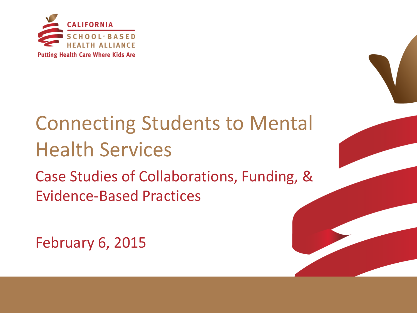

# Connecting Students to Mental Health Services

Case Studies of Collaborations, Funding, & Evidence-Based Practices

February 6, 2015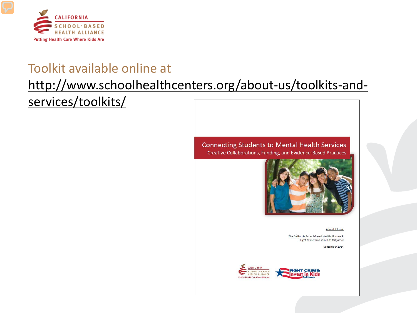

#### Toolkit available online at

#### [http://www.schoolhealthcenters.org/about-us/toolkits-and-](http://www.schoolhealthcenters.org/about-us/toolkits-and-services/toolkits/)

[services/toolkits/](http://www.schoolhealthcenters.org/about-us/toolkits-and-services/toolkits/)

**Connecting Students to Mental Health Services** Creative Collaborations, Funding, and Evidence-Based Practices



A toolkit from:

The California School-Based Health Alliance & Fight Crime: Invest in Kids California

September 2014

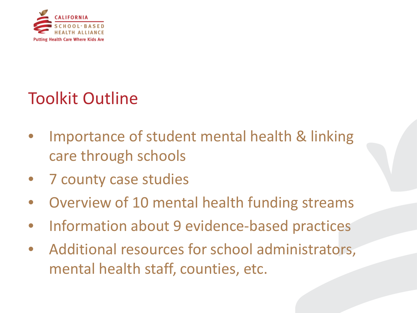

#### Toolkit Outline

- Importance of student mental health & linking care through schools
- 7 county case studies
- Overview of 10 mental health funding streams
- Information about 9 evidence-based practices
- Additional resources for school administrators, mental health staff, counties, etc.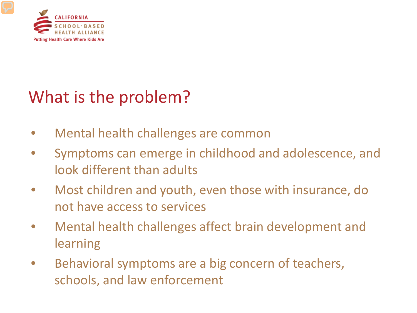

#### What is the problem?

- Mental health challenges are common
- Symptoms can emerge in childhood and adolescence, and look different than adults
- Most children and youth, even those with insurance, do not have access to services
- Mental health challenges affect brain development and learning
- Behavioral symptoms are a big concern of teachers, schools, and law enforcement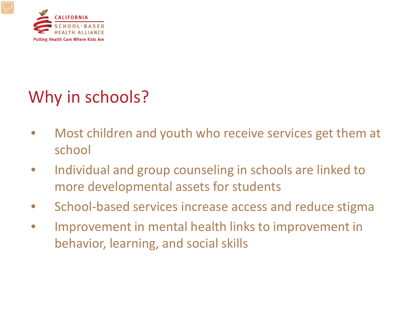

## Why in schools?

- Most children and youth who receive services get them at school
- Individual and group counseling in schools are linked to more developmental assets for students
- School-based services increase access and reduce stigma
- Improvement in mental health links to improvement in behavior, learning, and social skills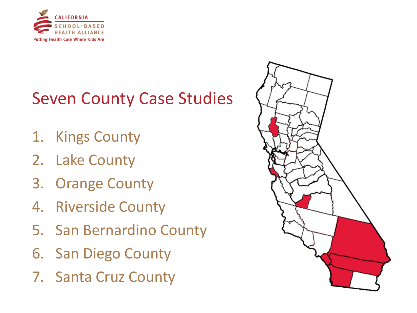

#### Seven County Case Studies

- 1. Kings County
- 2. Lake County
- 3. Orange County
- 4. Riverside County
- 5. San Bernardino County
- 6. San Diego County
- 7. Santa Cruz County

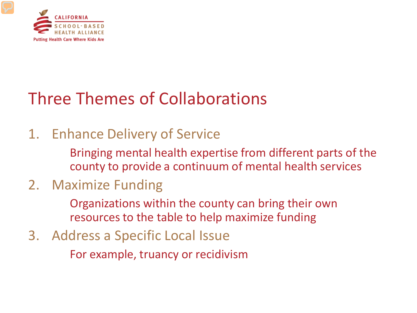

#### Three Themes of Collaborations

#### 1. Enhance Delivery of Service

Bringing mental health expertise from different parts of the county to provide a continuum of mental health services

#### 2. Maximize Funding

Organizations within the county can bring their own resources to the table to help maximize funding

3. Address a Specific Local Issue

For example, truancy or recidivism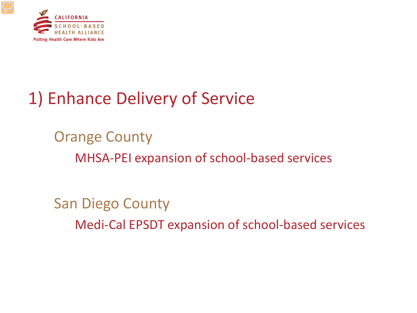

## 1) Enhance Delivery of Service

Orange County MHSA-PEI expansion of school-based services

San Diego County Medi-Cal EPSDT expansion of school-based services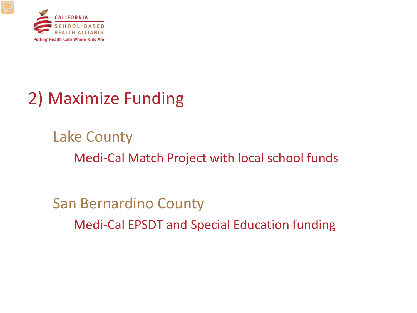

## 2) Maximize Funding

Lake County Medi-Cal Match Project with local school funds

San Bernardino County Medi-Cal EPSDT and Special Education funding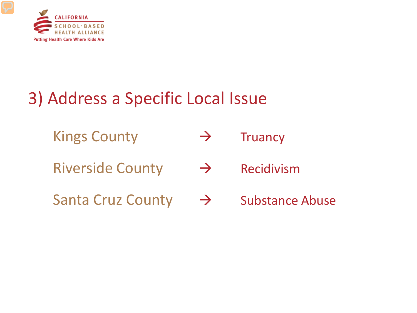

## 3) Address a Specific Local Issue

- Kings County  $\rightarrow$  Truancy
- Riverside County  $\rightarrow$  Recidivism
- Santa Cruz County  $\rightarrow$  Substance Abuse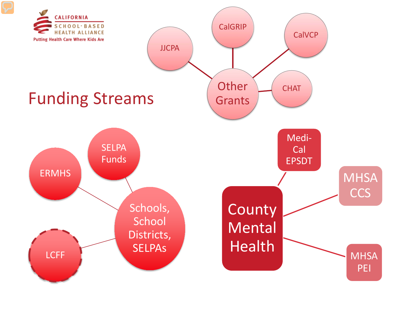